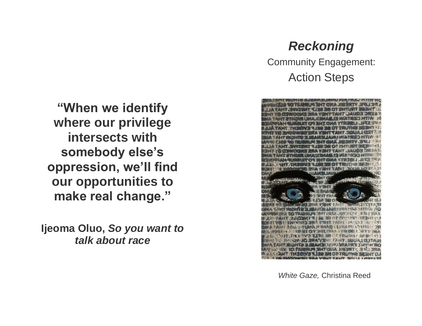# *Reckoning*

Community Engagement: Action Steps



**"When we identify where our privilege intersects with somebody else's oppression, we'll find our opportunities to make real change."**

**Ijeoma Oluo,** *So you want to talk about race*

*White Gaze,* Christina Reed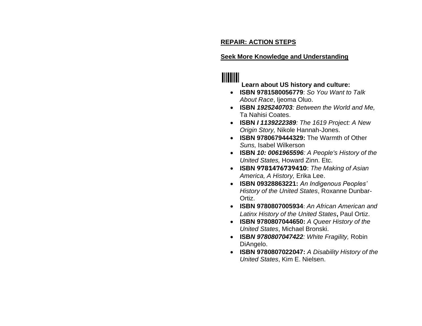### **REPAIR: ACTION STEPS**

#### **Seek More Knowledge and Understanding**

# **TIITIITII**

### **Learn about US history and culture:**

- **ISBN 9781580056779**: *So You Want to Talk About Race*, Ijeoma Oluo.
- **ISBN** *1925240703: Between the World and Me,*  Ta Nahisi Coates.
- **ISBN** *I 1139222389: The 1619 Project: A New Origin Story,* Nikole Hannah-Jones.
- **ISBN 9780679444329:** The Warmth of Other *Suns,* Isabel Wilkerson
- **ISBN** *10: 0061965596: A People's History of the United States,* Howard Zinn. Etc.
- **ISBN 9781476739410**: *The Making of Asian America, A History,* Erika Lee.
- **ISBN 09328863221:** *An Indigenous Peoples' History of the United States*, Roxanne Dunbar-Ortiz.
- **ISBN 9780807005934**: *An African American and Latinx History of the United States***,** Paul Ortiz.
- **ISBN 9780807044650:** *A Queer History of the United States*, Michael Bronski.
- **ISB***N 9780807047422: White Fragility,* Robin DiAngelo.
- **ISBN 9780807022047:** *A Disability History of the United States*, Kim E. Nielsen.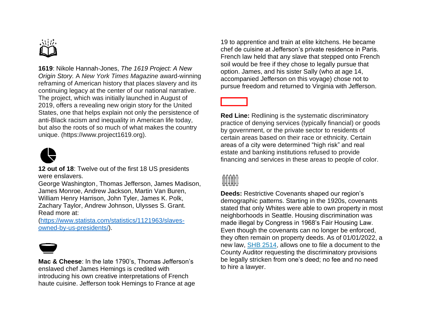**1619**: Nikole Hannah-Jones, *The 1619 Project: A New Origin Story.* A *New York Times Magazine* award-winning reframing of American history that places slavery and its continuing legacy at the center of our national narrative. The project, which was initially launched in August of 2019, offers a revealing new origin story for the United States, one that helps explain not only the persistence of anti-Black racism and inequality in American life today, but also the roots of so much of what makes the country unique. (https://www.project1619.org).



**12 out of 18**: Twelve out of the first 18 US presidents were enslavers.

George Washington, Thomas Jefferson, James Madison, James Monroe, Andrew Jackson, Martin Van Buren, William Henry Harrison, John Tyler, James K. Polk, Zachary Taylor, Andrew Johnson, Ulysses S. Grant. Read more at:

[\(https://www.statista.com/statistics/1121963/slaves](https://www.statista.com/statistics/1121963/slaves-owned-by-us-presidents/)[owned-by-us-presidents/\)](https://www.statista.com/statistics/1121963/slaves-owned-by-us-presidents/).



**Mac & Cheese**: In the late 1790's, Thomas Jefferson's enslaved chef James Hemings is credited with introducing his own creative interpretations of French haute cuisine. Jefferson took Hemings to France at age 19 to apprentice and train at elite kitchens. He became chef de cuisine at Jefferson's private residence in Paris. French law held that any slave that stepped onto French soil would be free if they chose to legally pursue that option. James, and his sister Sally (who at age 14, accompanied Jefferson on this voyage) chose not to pursue freedom and returned to Virginia with Jefferson.

**Red Line:** Redlining is the systematic discriminatory practice of denying services (typically financial) or goods by government, or the private sector to residents of certain areas based on their race or ethnicity. Certain areas of a city were determined "high risk" and real estate and banking institutions refused to provide financing and services in these areas to people of color.

# **MMM**

**Deeds:** Restrictive Covenants shaped our region's demographic patterns. Starting in the 1920s, covenants stated that only Whites were able to own property in most neighborhoods in Seattle. Housing discrimination was made illegal by Congress in 1968's Fair Housing Law. Even though the covenants can no longer be enforced, they often remain on property deeds. As of 01/01/2022, a new law, [SHB 2514,](http://lawfilesext.leg.wa.gov/biennium/2017-18/Pdf/Bills/House%20Passed%20Legislature/2514-S.PL.pdf) allows one to file a document to the County Auditor requesting the discriminatory provisions be legally stricken from one's deed; no fee and no need to hire a lawyer.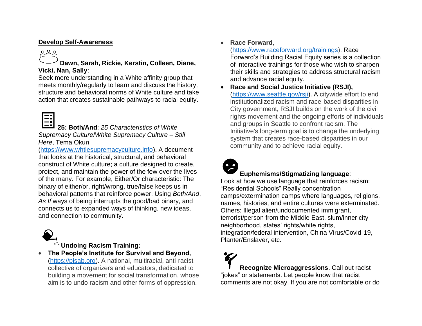#### **Develop Self-Awareness**

**Dawn, Sarah, Rickie, Kerstin, Colleen, Diane, Vicki, Nan, Sally**:

Seek more understanding in a White affinity group that meets monthly/regularly to learn and discuss the history, structure and behavioral norms of White culture and take action that creates sustainable pathways to racial equity.



**25: Both/And**: *25 Characteristics of White Supremacy Culture*/*White Supremacy Culture – Still Here*, Tema Okun

[\(https://www.whtiesupremacyculture.info\)](https://www.whtiesupremacyculture.info/). A document that looks at the historical, structural, and behavioral construct of White culture; a culture designed to create, protect, and maintain the power of the few over the lives of the many. For example, Either/Or characteristic: The binary of either/or, right/wrong, true/false keeps us in behavioral patterns that reinforce power. Using *Both/And*, *As If* ways of being interrupts the good/bad binary, and connects us to expanded ways of thinking, new ideas, and connection to community.



**Undoing Racism Training:** 

• **The People's Institute for Survival and Beyond,**  [\(https://pisab.org\)](https://pisab.org/). A national, multiracial, anti-racist collective of organizers and educators, dedicated to building a movement for social transformation, whose aim is to undo racism and other forms of oppression.

• **Race Forward**,

[\(https://www.raceforward.org/trainings\)](https://www.raceforward.org/trainings). Race Forward's Building Racial Equity series is a collection of interactive trainings for those who wish to sharpen their skills and strategies to address structural racism and advance racial equity.

• **Race and Social Justice Initiative (RSJI),** [\(https://www.seattle.gov/rsji\)](https://www.seattle.gov/rsji). A citywide effort to end institutionalized racism and race-based disparities in City government, RSJI builds on the work of the civil rights movement and the ongoing efforts of individuals and groups in Seattle to confront racism. The Initiative's long-term goal is to change the underlying system that creates race-based disparities in our community and to achieve racial equity.



# **Euphemisms/Stigmatizing language**:

Look at how we use language that reinforces racism: "Residential Schools" Really concentration camps/extermination camps where languages, religions, names, histories, and entire cultures were exterminated. Others: Illegal alien/undocumented immigrant, terrorist/person from the Middle East, slum/inner city neighborhood, states' rights/white rights, integration/federal intervention, China Virus/Covid-19, Planter/Enslaver, etc.

**Recognize Microaggressions**. Call out racist "jokes" or statements. Let people know that racist comments are not okay. If you are not comfortable or do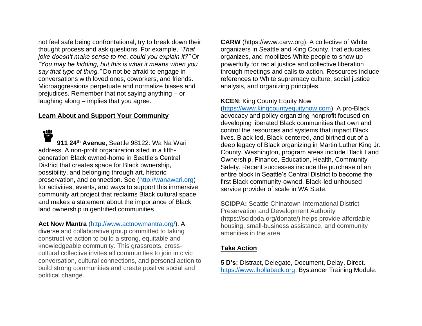not feel safe being confrontational, try to break down their thought process and ask questions. For example, *"That joke doesn't make sense to me, could you explain it?"* Or *"You may be kidding, but this is what it means when you say that type of thing."* Do not be afraid to engage in conversations with loved ones, coworkers, and friends. Microaggressions perpetuate and normalize biases and prejudices. Remember that not saying anything – or laughing along – implies that you agree.

#### **Learn About and Support Your Community**

₩ **911 24th Avenue**, Seattle 98122: Wa Na Wari address. A non-profit organization sited in a fifthgeneration Black owned-home in Seattle's Central District that creates space for Black ownership, possibility, and belonging through art, historic preservation, and connection. See [\(http://wanawari.org\)](http://wanawari.org/) for activities, events, and ways to support this immersive community art project that reclaims Black cultural space and makes a statement about the importance of Black land ownership in gentrified communities.

#### **Act Now Mantra** [\(http://www.actnowmantra.org/\)](http://www.actnowmantra.org/). A

diverse and collaborative group committed to taking constructive action to build a strong, equitable and knowledgeable community. This grassroots, crosscultural collective invites all communities to join in civic conversation, cultural connections, and personal action to build strong communities and create positive social and political change.

**CARW** (https://www.carw.org). A collective of White organizers in Seattle and King County, that educates, organizes, and mobilizes White people to show up powerfully for racial justice and collective liberation through meetings and calls to action. Resources include references to White supremacy culture, social justice analysis, and organizing principles.

#### **KCEN**: King County Equity Now

[\(https://www.kingcountyequitynow.com\)](https://www.kingcountyequitynow.com/). A pro-Black advocacy and policy organizing nonprofit focused on developing liberated Black communities that own and control the resources and systems that impact Black lives. Black-led, Black-centered, and birthed out of a deep legacy of Black organizing in Martin Luther King Jr. County, Washington, program areas include Black Land Ownership, Finance, Education, Health, Community Safety. Recent successes include the purchase of an entire block in Seattle's Central District to become the first Black community-owned, Black-led unhoused service provider of scale in WA State.

**SCIDPA:** Seattle Chinatown-International District Preservation and Development Authority (https://scidpda.org/donate/) helps provide affordable housing, small-business assistance, and community amenities in the area.

#### **Take Action**

**5 D's:** Distract, Delegate, Document, Delay, Direct. [https://www.ihollaback.org,](https://www.ihollaback.org/) Bystander Training Module.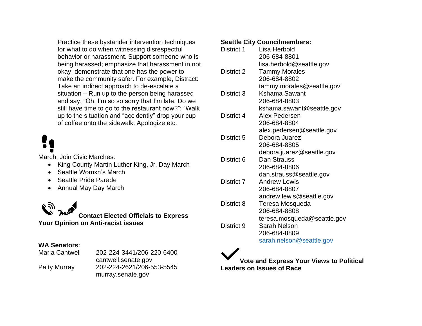Practice these bystander intervention techniques for what to do when witnessing disrespectful behavior or harassment. Support someone who is being harassed; emphasize that harassment in not okay; demonstrate that one has the power to make the community safer. For example, Distract: Take an indirect approach to de-escalate a situation – Run up to the person being harassed and say, "Oh, I'm so so sorry that I'm late. Do we still have time to go to the restaurant now?"; "Walk up to the situation and "accidently" drop your cup of coffee onto the sidewalk. Apologize etc.

March: Join Civic Marches.

- King County Martin Luther King, Jr. Day March
- Seattle Womxn's March
- Seattle Pride Parade
- Annual May Day March



### **WA Senators**:

| <b>Maria Cantwell</b> | 202-224-3441/206-220-6400 |
|-----------------------|---------------------------|
|                       | cantwell.senate.gov       |
| <b>Patty Murray</b>   | 202-224-2621/206-553-5545 |
|                       | murray.senate.gov         |

#### **Seattle City Councilmembers:**

| District 1 | Lisa Herbold<br>206-684-8801 |
|------------|------------------------------|
|            | lisa.herbold@seattle.gov     |
| District 2 | <b>Tammy Morales</b>         |
|            | 206-684-8802                 |
|            | tammy.morales@seattle.gov    |
| District 3 | Kshama Sawant                |
|            | 206-684-8803                 |
|            | kshama.sawant@seattle.gov    |
| District 4 | Alex Pedersen                |
|            | 206-684-8804                 |
|            | alex.pedersen@seattle.gov    |
| District 5 | Debora Juarez                |
|            | 206-684-8805                 |
|            | debora.juarez@seattle.gov    |
| District 6 | Dan Strauss                  |
|            | 206-684-8806                 |
|            | dan.strauss@seattle.gov      |
| District 7 | <b>Andrew Lewis</b>          |
|            | 206-684-8807                 |
|            | andrew.lewis@seattle.gov     |
| District 8 | Teresa Mosqueda              |
|            | 206-684-8808                 |
|            | teresa.mosqueda@seattle.gov  |
| District 9 | Sarah Nelson                 |
|            | 206-684-8809                 |
|            | sarah.nelson@seattle.gov     |

**Vote and Express Your Views to Political Leaders on Issues of Race**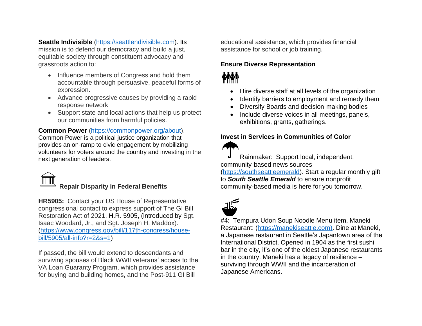**Seattle Indivisible** [\(https://seattlendivisible.com\)](https://seattlendivisible.com/). Its mission is to defend our democracy and build a just, equitable society through constituent advocacy and grassroots action to:

- Influence members of Congress and hold them accountable through persuasive, peaceful forms of expression.
- Advance progressive causes by providing a rapid response network
- Support state and local actions that help us protect our communities from harmful policies.

#### **Common Power** [\(https://commonpower.org/about\)](https://commonpower.org/about).

Common Power is a political justice organization that provides an on-ramp to civic engagement by mobilizing volunteers for voters around the country and investing in the next generation of leaders.



# **Repair Disparity in Federal Benefits**

**HR5905:** Contact your US House of Representative congressional contact to express support of The GI Bill Restoration Act of 2021, H.R. 5905, (introduced by Sgt. Isaac Woodard, Jr., and Sgt. Joseph H. Maddox). [\(https://www.congress.gov/bill/117th-congress/house](https://www.congress.gov/bill/117th-congress/house-bill/5905/all-info?r=2&s=1)[bill/5905/all-info?r=2&s=1\)](https://www.congress.gov/bill/117th-congress/house-bill/5905/all-info?r=2&s=1)

If passed, the bill would extend to descendants and surviving spouses of Black WWII veterans' access to the VA Loan Guaranty Program, which provides assistance for buying and building homes, and the Post-911 GI Bill

educational assistance, which provides financial assistance for school or job training.

#### **Ensure Diverse Representation**

# *inin*

- Hire diverse staff at all levels of the organization
- Identify barriers to employment and remedy them
- Diversify Boards and decision-making bodies
- Include diverse voices in all meetings, panels, exhibitions, grants, gatherings.

#### **Invest in Services in Communities of Color**

Rainmaker: Support local, independent, community-based news sources [\(https://southseattleemerald\)](https://southseattleemerald/). Start a regular monthly gift to *South Seattle Emerald* to ensure nonprofit community-based media is here for you tomorrow.



#4: Tempura Udon Soup Noodle Menu item, Maneki Restaurant: [\(https://manekiseattle.com\)](https://manekiseattle.com/). Dine at Maneki, a Japanese restaurant in Seattle's Japantown area of the International District. Opened in 1904 as the first sushi bar in the city, it's one of the oldest Japanese restaurants in the country. Maneki has a legacy of resilience – surviving through WWII and the incarceration of Japanese Americans.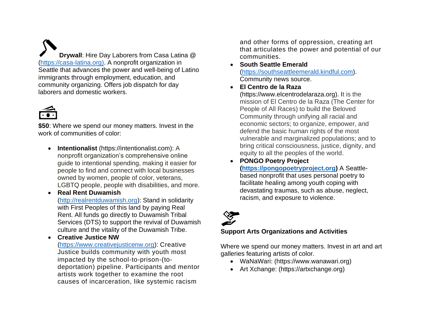**Drywall**: Hire Day Laborers from Casa Latina @ [\(https://casa-latina.org\)](https://casa-latina.org/). A nonprofit organization in Seattle that advances the power and well-being of Latino immigrants through employment, education, and community organizing. Offers job dispatch for day laborers and domestic workers.



**\$50**: Where we spend our money matters. Invest in the work of communities of color:

- **Intentionalist** (https://intentionalist.com): A nonprofit organization's comprehensive online guide to intentional spending, making it easier for people to find and connect with local businesses owned by women, people of color, veterans, LGBTQ people, people with disabilities, and more.
- **Real Rent Duwamish** [\(http://realrentduwamish.org\)](http://realrentduwamish.org/): Stand in solidarity with First Peoples of this land by paying Real Rent. All funds go directly to Duwamish Tribal Services (DTS) to support the revival of Duwamish culture and the vitality of the Duwamish Tribe.
- **Creative Justice NW**

[\(https://www.creativejusticenw.org\)](https://www.creativejusticenw.org/): Creative Justice builds community with youth most impacted by the school-to-prison-(todeportation) pipeline. Participants and mentor artists work together to examine the root causes of incarceration, like systemic racism

and other forms of oppression, creating art that articulates the power and potential of our communities.

• **South Seattle Emerald**

[\(https://southseattleemerald.kindful.com\)](https://southseattleemerald.kindful.com/). Community news source.

• **El Centro de la Raza**

(https://www.elcentrodelaraza.org). It is the mission of El Centro de la Raza (The Center for People of All Races) to build the Beloved Community through unifying all racial and economic sectors; to organize, empower, and defend the basic human rights of the most vulnerable and marginalized populations; and to bring critical consciousness, justice, dignity, and equity to all the peoples of the world.

• **PONGO Poetry Project [\(https://pongopoetryproject.org\)](https://pongopoetryproject.org/)** A Seattlebased nonprofit that uses personal poetry to facilitate healing among youth coping with devastating traumas, such as abuse, neglect, racism, and exposure to violence.



# **Support Arts Organizations and Activities**

Where we spend our money matters. Invest in art and art galleries featuring artists of color.

- WaNaWari: (https://www.wanawari.org)
- Art Xchange: (https://artxchange.org)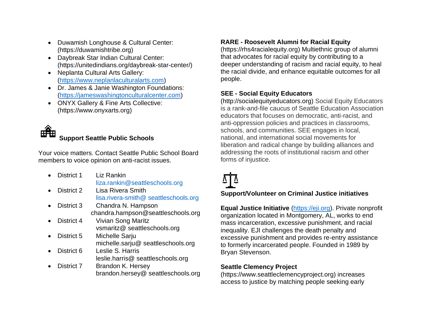- Duwamish Longhouse & Cultural Center: (https://duwamishtribe.org)
- Daybreak Star Indian Cultural Center: (https://unitedindians.org/daybreak-star-center/)
- Neplanta Cultural Arts Gallery: [\(https://www.neplanlaculturalarts.com\)](https://www.neplanlaculturalarts.com/)
- Dr. James & Janie Washington Foundations: [\(https://jameswashingtonculturalcenter.com\)](https://jameswashingtonculturalcenter.com/)
- ONYX Gallery & Fine Arts Collective: (https://www.onyxarts.org)



Your voice matters. Contact Seattle Public School Board members to voice opinion on anti-racist issues.

- District 1 Liz Rankin [liza.rankin@seattleschools.org](mailto:liza.rankin@seattleschools.org)
- District 2 Lisa Rivera Smith lisa.rivera-smith@ [seattleschools.org](mailto:lisa.rivera-smith@%20seattleschools.org)
- District 3 Chandra N. Hampson chandra.hampson@seattleschools.org
- District 4 Vivian Song Maritz vsmaritz@ seattleschools.org
- District 5 Michelle Sarju michelle.sarju@ seattleschools.org
- District 6 Leslie S. Harris leslie.harris@ seattleschools.org
- District 7 Brandon K. Hersey brandon.hersey@ seattleschools.org

# **RARE - Roosevelt Alumni for Racial Equity**

(https://rhs4racialequity.org) Multiethnic group of alumni that advocates for racial equity by contributing to a deeper understanding of racism and racial equity, to heal the racial divide, and enhance equitable outcomes for all people.

### **SEE - Social Equity Educators**

(http://socialequityeducators.org) Social Equity Educators is a rank-and-file caucus of Seattle Education Association educators that focuses on democratic, anti-racist, and anti-oppression policies and practices in classrooms, schools, and communities. SEE engages in local, national, and international social movements for liberation and radical change by building alliances and addressing the roots of institutional racism and other forms of injustice.



# **Support/Volunteer on Criminal Justice initiatives**

**Equal Justice Initiative** [\(https://eji.org\)](https://eji.org/). Private nonprofit organization located in Montgomery, AL, works to end mass incarceration, excessive punishment, and racial inequality. EJI challenges the death penalty and excessive punishment and provides re-entry assistance to formerly incarcerated people. Founded in 1989 by Bryan Stevenson.

#### **Seattle Clemency Project**

(https://www.seattleclemencyproject.org) increases access to justice by matching people seeking early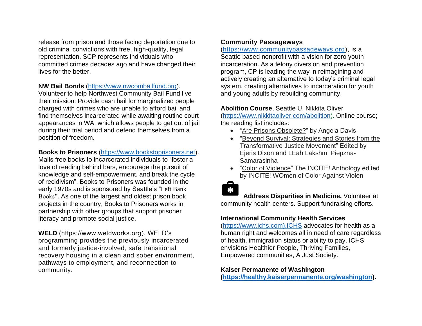release from prison and those facing deportation due to old criminal convictions with free, high-quality, legal representation. SCP represents individuals who committed crimes decades ago and have changed their lives for the better.

#### **NW Bail Bonds** [\(https://www.nwcombailfund.org\)](https://www.nwcombailfund.org/).

Volunteer to help Northwest Community Bail Fund live their mission: Provide cash bail for marginalized people charged with crimes who are unable to afford bail and find themselves incarcerated while awaiting routine court appearances in WA, which allows people to get out of jail during their trial period and defend themselves from a position of freedom.

#### **Books to Prisoners** [\(https://www.bookstoprisoners.net\)](https://www.bookstoprisoners.net/).

Mails free books to incarcerated individuals to "foster a love of reading behind bars, encourage the pursuit of knowledge and self-empowerment, and break the cycle of recidivism". Books to Prisoners was founded in the early 1970s and is sponsored by Seattle's "Left Bank Books". As one of the largest and oldest prison book projects in the country, Books to Prisoners works in partnership with other groups that support prisoner literacy and promote social justice.

**WELD** (https://www.weldworks.org). WELD's programming provides the previously incarcerated and formerly justice-involved, safe transitional recovery housing in a clean and sober environment, pathways to employment, and reconnection to community.

#### **Community Passageways**

[\(https://www.communitypassageways.org\)](https://www.communitypassageways.org/), is a Seattle based nonprofit with a vision for zero youth incarceration. As a felony diversion and prevention program, CP is leading the way in reimagining and actively creating an alternative to today's criminal legal system, creating alternatives to incarceration for youth and young adults by rebuilding community.

#### **Abolition Course**, Seattle U, Nikkita Oliver

[\(https://www.nikkitaoliver.com/abolition\)](https://www.nikkitaoliver.com/abolition). Online course; the reading list includes:

- ["Are Prisons Obsolete?"](https://www.penguinrandomhouse.com/books/213837/are-prisons-obsolete-by-angela-y-davis/) by Angela Davis
- ["Beyond Survival: Strategies and Stories from the](https://www.akpress.org/beyond-survival.html)  [Transformative Justice Movement"](https://www.akpress.org/beyond-survival.html) Edited by Ejeris Dixon and LEah Lakshmi Piepzna-Samarasinha
- ["Color of Violence"](https://www.dukeupress.edu/color-of-violence) The INCITE! Anthology edited by INCITE! WOmen of Color Against Violen



 **Address Disparities in Medicine.** Volunteer at community health centers. Support fundraising efforts.

#### **International Community Health Services**

[\(https://www.ichs.com\).ICHS](https://www.ichs.com).ichs/) advocates for health as a human right and welcomes all in need of care regardless of health, immigration status or ability to pay. ICHS envisions Healthier People, Thriving Families, Empowered communities, A Just Society.

#### **Kaiser Permanente of Washington**

**[\(https://healthy.kaiserpermanente.org/washington\)](https://healthy.kaiserpermanente.org/washington).**